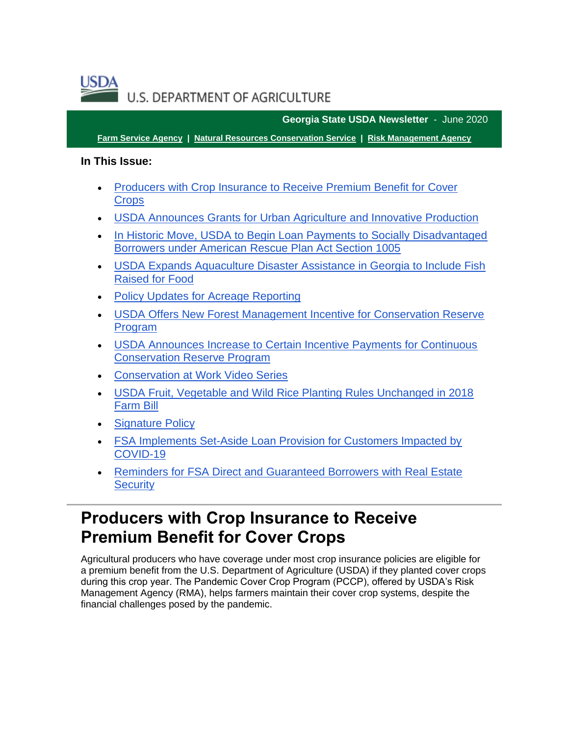**USDA** U.S. DEPARTMENT OF AGRICULTURE

**Georgia State USDA Newsletter** - June 2020

**[Farm Service Agency](https://gcc02.safelinks.protection.outlook.com/?url=https%3A%2F%2Ffsa.usda.gov%2F%3Futm_medium%3Demail%26utm_source%3Dgovdelivery&data=04%7C01%7C%7Cd31388e1c0d74124836b08d92c50386a%7Ced5b36e701ee4ebc867ee03cfa0d4697%7C0%7C1%7C637589545322301667%7CUnknown%7CTWFpbGZsb3d8eyJWIjoiMC4wLjAwMDAiLCJQIjoiV2luMzIiLCJBTiI6Ik1haWwiLCJXVCI6Mn0%3D%7C1000&sdata=0dW0T2LysBU5YMYFc2KaNhK9JaPr62twmO9qr5YPvQY%3D&reserved=0) | [Natural Resources Conservation Service](https://gcc02.safelinks.protection.outlook.com/?url=https%3A%2F%2Fwww.nrcs.usda.gov%2Fwps%2Fportal%2Fnrcs%2Fsite%2Fnational%2Fhome%2F%3Futm_medium%3Demail%26utm_source%3Dgovdelivery&data=04%7C01%7C%7Cd31388e1c0d74124836b08d92c50386a%7Ced5b36e701ee4ebc867ee03cfa0d4697%7C0%7C1%7C637589545322301667%7CUnknown%7CTWFpbGZsb3d8eyJWIjoiMC4wLjAwMDAiLCJQIjoiV2luMzIiLCJBTiI6Ik1haWwiLCJXVCI6Mn0%3D%7C1000&sdata=QYOyMErrnwL6UWfOQklozO5CiDwtlD2g0JGZKbfwvQU%3D&reserved=0) | [Risk Management Agency](https://gcc02.safelinks.protection.outlook.com/?url=https%3A%2F%2Frma.usda.gov%2F%3Futm_medium%3Demail%26utm_source%3Dgovdelivery&data=04%7C01%7C%7Cd31388e1c0d74124836b08d92c50386a%7Ced5b36e701ee4ebc867ee03cfa0d4697%7C0%7C1%7C637589545322311625%7CUnknown%7CTWFpbGZsb3d8eyJWIjoiMC4wLjAwMDAiLCJQIjoiV2luMzIiLCJBTiI6Ik1haWwiLCJXVCI6Mn0%3D%7C1000&sdata=dMrN3%2FdC33zciDlurBZCJYdaGaPOWSqoWljcROY%2FQQY%3D&reserved=0)**

### **In This Issue:**

- [Producers with Crop Insurance to Receive Premium Benefit for Cover](#page-0-0)  **[Crops](#page-0-0)**
- [USDA Announces Grants for Urban Agriculture and Innovative Production](#page-2-0)
- [In Historic Move, USDA to Begin Loan Payments to Socially Disadvantaged](#page-4-0)  [Borrowers under American Rescue Plan Act Section 1005](#page-4-0)
- [USDA Expands Aquaculture Disaster Assistance in Georgia to Include Fish](#page-5-0)  [Raised for Food](#page-5-0)
- [Policy Updates for Acreage Reporting](#page-6-0)
- [USDA Offers New Forest Management Incentive for Conservation Reserve](#page-7-0)  [Program](#page-7-0)
- [USDA Announces Increase to Certain Incentive Payments for Continuous](#page-7-1)  [Conservation Reserve Program](#page-7-1)
- [Conservation at Work Video Series](#page-8-0)
- [USDA Fruit, Vegetable and Wild Rice Planting Rules Unchanged in 2018](#page-9-0)  [Farm Bill](#page-9-0)
- **[Signature Policy](#page-10-0)**
- [FSA Implements Set-Aside Loan Provision for Customers Impacted by](#page-11-0)  [COVID-19](#page-11-0)
- [Reminders for FSA Direct and Guaranteed Borrowers with Real Estate](#page-11-1)  **[Security](#page-11-1)**

### <span id="page-0-0"></span>**Producers with Crop Insurance to Receive Premium Benefit for Cover Crops**

Agricultural producers who have coverage under most crop insurance policies are eligible for a premium benefit from the U.S. Department of Agriculture (USDA) if they planted cover crops during this crop year. The Pandemic Cover Crop Program (PCCP), offered by USDA's Risk Management Agency (RMA), helps farmers maintain their cover crop systems, despite the financial challenges posed by the pandemic.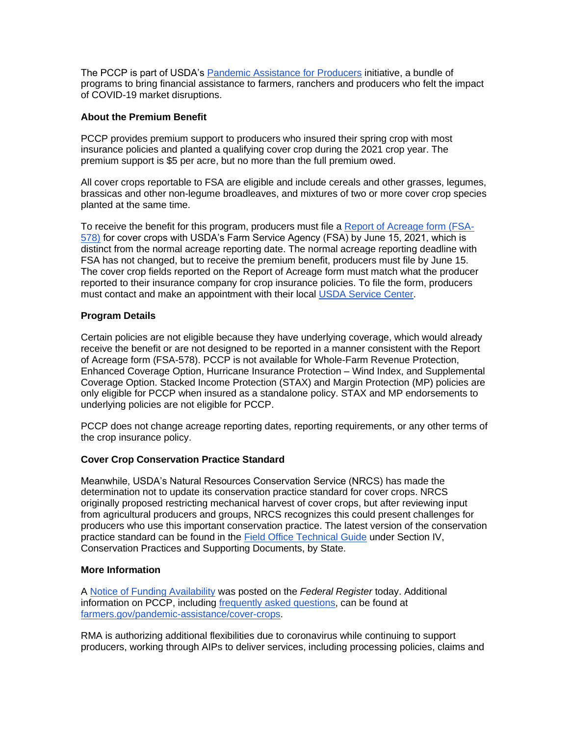The PCCP is part of USDA's [Pandemic Assistance for Producers](https://www.farmers.gov/pandemic-assistance?utm_medium=email&utm_source=govdelivery) initiative, a bundle of programs to bring financial assistance to farmers, ranchers and producers who felt the impact of COVID-19 market disruptions.

### **About the Premium Benefit**

PCCP provides premium support to producers who insured their spring crop with most insurance policies and planted a qualifying cover crop during the 2021 crop year. The premium support is \$5 per acre, but no more than the full premium owed.

All cover crops reportable to FSA are eligible and include cereals and other grasses, legumes, brassicas and other non-legume broadleaves, and mixtures of two or more cover crop species planted at the same time.

To receive the benefit for this program, producers must file a [Report of Acreage form \(FSA-](https://www.farmers.gov/sites/default/files/2021-05/fsa0578manual-190822v01-uni.pdf?utm_medium=email&utm_source=govdelivery)[578\)](https://www.farmers.gov/sites/default/files/2021-05/fsa0578manual-190822v01-uni.pdf?utm_medium=email&utm_source=govdelivery) for cover crops with USDA's Farm Service Agency (FSA) by June 15, 2021, which is distinct from the normal acreage reporting date. The normal acreage reporting deadline with FSA has not changed, but to receive the premium benefit, producers must file by June 15. The cover crop fields reported on the Report of Acreage form must match what the producer reported to their insurance company for crop insurance policies. To file the form, producers must contact and make an appointment with their local [USDA Service Center.](http://www.farmers.gov/service-locator?utm_medium=email&utm_source=govdelivery)

### **Program Details**

Certain policies are not eligible because they have underlying coverage, which would already receive the benefit or are not designed to be reported in a manner consistent with the Report of Acreage form (FSA-578). PCCP is not available for Whole-Farm Revenue Protection, Enhanced Coverage Option, Hurricane Insurance Protection – Wind Index, and Supplemental Coverage Option. Stacked Income Protection (STAX) and Margin Protection (MP) policies are only eligible for PCCP when insured as a standalone policy. STAX and MP endorsements to underlying policies are not eligible for PCCP.

PCCP does not change acreage reporting dates, reporting requirements, or any other terms of the crop insurance policy.

### **Cover Crop Conservation Practice Standard**

Meanwhile, USDA's Natural Resources Conservation Service (NRCS) has made the determination not to update its conservation practice standard for cover crops. NRCS originally proposed restricting mechanical harvest of cover crops, but after reviewing input from agricultural producers and groups, NRCS recognizes this could present challenges for producers who use this important conservation practice. The latest version of the conservation practice standard can be found in the [Field Office Technical Guide](https://efotg.sc.egov.usda.gov/?utm_medium=email&utm_source=govdelivery#/details) under Section IV, Conservation Practices and Supporting Documents, by State.

### **More Information**

A [Notice of Funding Availability](https://gcc02.safelinks.protection.outlook.com/?url=https%3A%2F%2Fwww.federalregister.gov%2Fpublic-inspection%2F2021-11603%2Ffunding-availability-pandemic-cover-crop-program%3Futm_medium%3Demail%26utm_source%3Dgovdelivery&data=04%7C01%7C%7Cd31388e1c0d74124836b08d92c50386a%7Ced5b36e701ee4ebc867ee03cfa0d4697%7C0%7C1%7C637589545322311625%7CUnknown%7CTWFpbGZsb3d8eyJWIjoiMC4wLjAwMDAiLCJQIjoiV2luMzIiLCJBTiI6Ik1haWwiLCJXVCI6Mn0%3D%7C1000&sdata=NFK2AtgXazrpHk0ykQJFVUOa91SulgHykFkef45RjjM%3D&reserved=0) was posted on the *Federal Register* today. Additional information on PCCP, including [frequently asked questions,](https://www.farmers.gov/pandemic-assistance/cover-crops/pccp-faq?utm_medium=email&utm_source=govdelivery) can be found at [farmers.gov/pandemic-assistance/cover-crops.](https://www.farmers.gov/pandemic-assistance/cover-crops?utm_medium=email&utm_source=govdelivery)

RMA is authorizing additional flexibilities due to coronavirus while continuing to support producers, working through AIPs to deliver services, including processing policies, claims and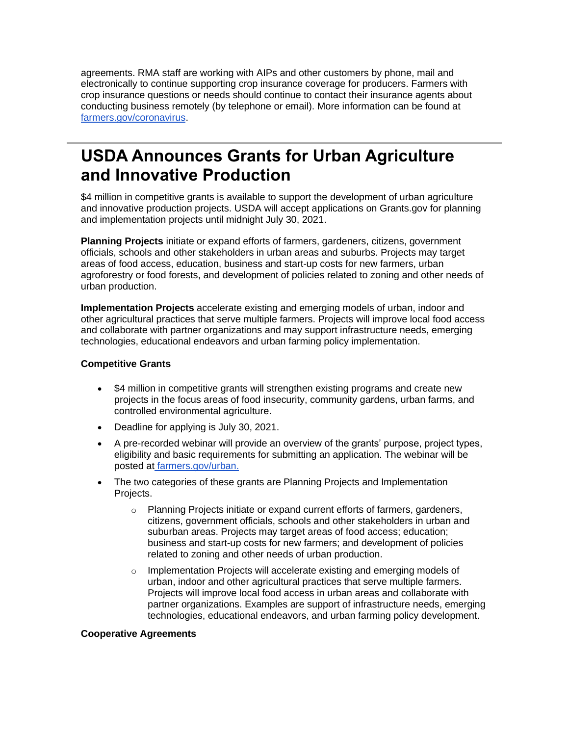agreements. RMA staff are working with AIPs and other customers by phone, mail and electronically to continue supporting crop insurance coverage for producers. Farmers with crop insurance questions or needs should continue to contact their insurance agents about conducting business remotely (by telephone or email). More information can be found at [farmers.gov/coronavirus.](http://www.farmers.gov/coronavirus?utm_medium=email&utm_source=govdelivery)

## <span id="page-2-0"></span>**USDA Announces Grants for Urban Agriculture and Innovative Production**

\$4 million in competitive grants is available to support the development of urban agriculture and innovative production projects. USDA will accept applications on Grants.gov for planning and implementation projects until midnight July 30, 2021.

**Planning Projects** initiate or expand efforts of farmers, gardeners, citizens, government officials, schools and other stakeholders in urban areas and suburbs. Projects may target areas of food access, education, business and start-up costs for new farmers, urban agroforestry or food forests, and development of policies related to zoning and other needs of urban production.

**Implementation Projects** accelerate existing and emerging models of urban, indoor and other agricultural practices that serve multiple farmers. Projects will improve local food access and collaborate with partner organizations and may support infrastructure needs, emerging technologies, educational endeavors and urban farming policy implementation.

### **Competitive Grants**

- \$4 million in competitive grants will strengthen existing programs and create new projects in the focus areas of food insecurity, community gardens, urban farms, and controlled environmental agriculture.
- Deadline for applying is July 30, 2021.
- A pre-recorded webinar will provide an overview of the grants' purpose, project types, eligibility and basic requirements for submitting an application. The webinar will be posted at [farmers.gov/urban.](https://www.farmers.gov/urban?utm_medium=email&utm_source=govdelivery)
- The two categories of these grants are Planning Projects and Implementation Projects.
	- $\circ$  Planning Projects initiate or expand current efforts of farmers, gardeners, citizens, government officials, schools and other stakeholders in urban and suburban areas. Projects may target areas of food access; education; business and start-up costs for new farmers; and development of policies related to zoning and other needs of urban production.
	- $\circ$  Implementation Projects will accelerate existing and emerging models of urban, indoor and other agricultural practices that serve multiple farmers. Projects will improve local food access in urban areas and collaborate with partner organizations. Examples are support of infrastructure needs, emerging technologies, educational endeavors, and urban farming policy development.

### **Cooperative Agreements**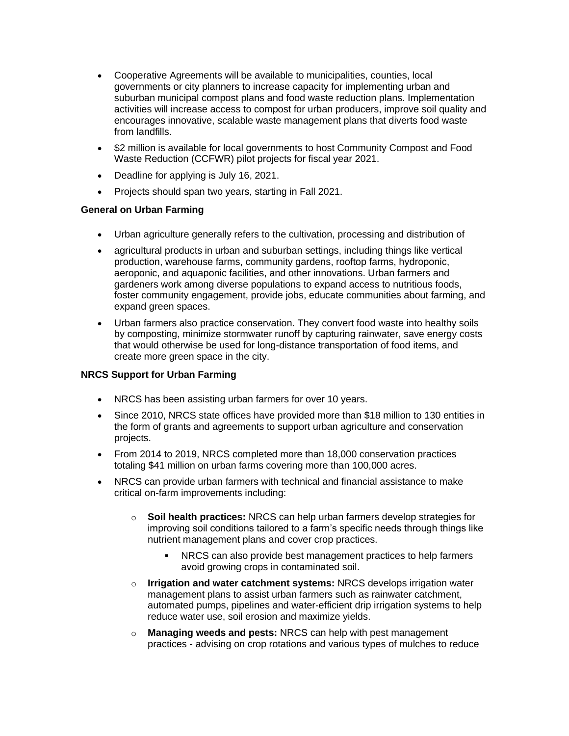- Cooperative Agreements will be available to municipalities, counties, local governments or city planners to increase capacity for implementing urban and suburban municipal compost plans and food waste reduction plans. Implementation activities will increase access to compost for urban producers, improve soil quality and encourages innovative, scalable waste management plans that diverts food waste from landfills.
- \$2 million is available for local governments to host Community Compost and Food Waste Reduction (CCFWR) pilot projects for fiscal year 2021.
- Deadline for applying is July 16, 2021.
- Projects should span two years, starting in Fall 2021.

### **General on Urban Farming**

- Urban agriculture generally refers to the cultivation, processing and distribution of
- agricultural products in urban and suburban settings, including things like vertical production, warehouse farms, community gardens, rooftop farms, hydroponic, aeroponic, and aquaponic facilities, and other innovations. Urban farmers and gardeners work among diverse populations to expand access to nutritious foods, foster community engagement, provide jobs, educate communities about farming, and expand green spaces.
- Urban farmers also practice conservation. They convert food waste into healthy soils by composting, minimize stormwater runoff by capturing rainwater, save energy costs that would otherwise be used for long-distance transportation of food items, and create more green space in the city.

### **NRCS Support for Urban Farming**

- NRCS has been assisting urban farmers for over 10 years.
- Since 2010, NRCS state offices have provided more than \$18 million to 130 entities in the form of grants and agreements to support urban agriculture and conservation projects.
- From 2014 to 2019, NRCS completed more than 18,000 conservation practices totaling \$41 million on urban farms covering more than 100,000 acres.
- NRCS can provide urban farmers with technical and financial assistance to make critical on-farm improvements including:
	- o **Soil health practices:** NRCS can help urban farmers develop strategies for improving soil conditions tailored to a farm's specific needs through things like nutrient management plans and cover crop practices.
		- NRCS can also provide best management practices to help farmers avoid growing crops in contaminated soil.
	- o **Irrigation and water catchment systems:** NRCS develops irrigation water management plans to assist urban farmers such as rainwater catchment, automated pumps, pipelines and water-efficient drip irrigation systems to help reduce water use, soil erosion and maximize yields.
	- o **Managing weeds and pests:** NRCS can help with pest management practices - advising on crop rotations and various types of mulches to reduce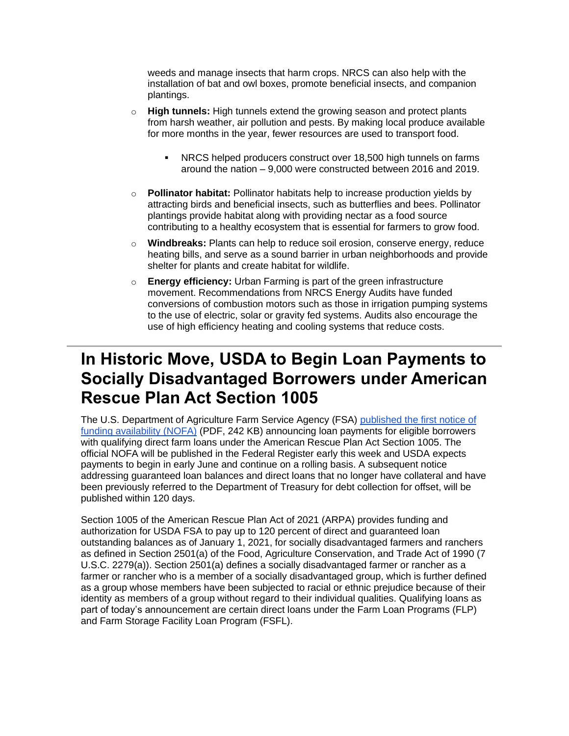weeds and manage insects that harm crops. NRCS can also help with the installation of bat and owl boxes, promote beneficial insects, and companion plantings.

- o **High tunnels:** High tunnels extend the growing season and protect plants from harsh weather, air pollution and pests. By making local produce available for more months in the year, fewer resources are used to transport food.
	- NRCS helped producers construct over 18,500 high tunnels on farms around the nation – 9,000 were constructed between 2016 and 2019.
- o **Pollinator habitat:** Pollinator habitats help to increase production yields by attracting birds and beneficial insects, such as butterflies and bees. Pollinator plantings provide habitat along with providing nectar as a food source contributing to a healthy ecosystem that is essential for farmers to grow food.
- o **Windbreaks:** Plants can help to reduce soil erosion, conserve energy, reduce heating bills, and serve as a sound barrier in urban neighborhoods and provide shelter for plants and create habitat for wildlife.
- o **Energy efficiency:** Urban Farming is part of the green infrastructure movement. Recommendations from NRCS Energy Audits have funded conversions of combustion motors such as those in irrigation pumping systems to the use of electric, solar or gravity fed systems. Audits also encourage the use of high efficiency heating and cooling systems that reduce costs.

## <span id="page-4-0"></span>**In Historic Move, USDA to Begin Loan Payments to Socially Disadvantaged Borrowers under American Rescue Plan Act Section 1005**

The U.S. Department of Agriculture Farm Service Agency (FSA) [published the first notice of](https://gcc02.safelinks.protection.outlook.com/?url=https%3A%2F%2Fpublic-inspection.federalregister.gov%2F2021-11155.pdf%3Futm_medium%3Demail%26utm_source%3Dgovdelivery&data=04%7C01%7C%7Cd31388e1c0d74124836b08d92c50386a%7Ced5b36e701ee4ebc867ee03cfa0d4697%7C0%7C1%7C637589545322321582%7CUnknown%7CTWFpbGZsb3d8eyJWIjoiMC4wLjAwMDAiLCJQIjoiV2luMzIiLCJBTiI6Ik1haWwiLCJXVCI6Mn0%3D%7C1000&sdata=Y9ltTEwu%2F%2BJkgG3%2BoIW09I3ukaSmmrzDNENgJbNVRR0%3D&reserved=0)  [funding availability \(NOFA\)](https://gcc02.safelinks.protection.outlook.com/?url=https%3A%2F%2Fpublic-inspection.federalregister.gov%2F2021-11155.pdf%3Futm_medium%3Demail%26utm_source%3Dgovdelivery&data=04%7C01%7C%7Cd31388e1c0d74124836b08d92c50386a%7Ced5b36e701ee4ebc867ee03cfa0d4697%7C0%7C1%7C637589545322321582%7CUnknown%7CTWFpbGZsb3d8eyJWIjoiMC4wLjAwMDAiLCJQIjoiV2luMzIiLCJBTiI6Ik1haWwiLCJXVCI6Mn0%3D%7C1000&sdata=Y9ltTEwu%2F%2BJkgG3%2BoIW09I3ukaSmmrzDNENgJbNVRR0%3D&reserved=0) (PDF, 242 KB) announcing loan payments for eligible borrowers with qualifying direct farm loans under the American Rescue Plan Act Section 1005. The official NOFA will be published in the Federal Register early this week and USDA expects payments to begin in early June and continue on a rolling basis. A subsequent notice addressing guaranteed loan balances and direct loans that no longer have collateral and have been previously referred to the Department of Treasury for debt collection for offset, will be published within 120 days.

Section 1005 of the American Rescue Plan Act of 2021 (ARPA) provides funding and authorization for USDA FSA to pay up to 120 percent of direct and guaranteed loan outstanding balances as of January 1, 2021, for socially disadvantaged farmers and ranchers as defined in Section 2501(a) of the Food, Agriculture Conservation, and Trade Act of 1990 (7 U.S.C. 2279(a)). Section 2501(a) defines a socially disadvantaged farmer or rancher as a farmer or rancher who is a member of a socially disadvantaged group, which is further defined as a group whose members have been subjected to racial or ethnic prejudice because of their identity as members of a group without regard to their individual qualities. Qualifying loans as part of today's announcement are certain direct loans under the Farm Loan Programs (FLP) and Farm Storage Facility Loan Program (FSFL).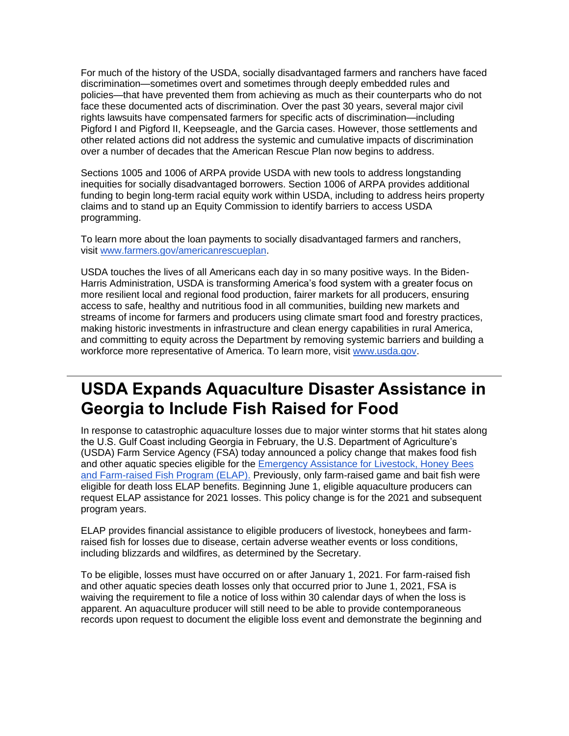For much of the history of the USDA, socially disadvantaged farmers and ranchers have faced discrimination—sometimes overt and sometimes through deeply embedded rules and policies—that have prevented them from achieving as much as their counterparts who do not face these documented acts of discrimination. Over the past 30 years, several major civil rights lawsuits have compensated farmers for specific acts of discrimination—including Pigford I and Pigford II, Keepseagle, and the Garcia cases. However, those settlements and other related actions did not address the systemic and cumulative impacts of discrimination over a number of decades that the American Rescue Plan now begins to address.

Sections 1005 and 1006 of ARPA provide USDA with new tools to address longstanding inequities for socially disadvantaged borrowers. Section 1006 of ARPA provides additional funding to begin long-term racial equity work within USDA, including to address heirs property claims and to stand up an Equity Commission to identify barriers to access USDA programming.

To learn more about the loan payments to socially disadvantaged farmers and ranchers, visit [www.farmers.gov/americanrescueplan.](https://www.farmers.gov/americanrescueplan?utm_medium=email&utm_source=govdelivery)

USDA touches the lives of all Americans each day in so many positive ways. In the Biden-Harris Administration, USDA is transforming America's food system with a greater focus on more resilient local and regional food production, fairer markets for all producers, ensuring access to safe, healthy and nutritious food in all communities, building new markets and streams of income for farmers and producers using climate smart food and forestry practices, making historic investments in infrastructure and clean energy capabilities in rural America, and committing to equity across the Department by removing systemic barriers and building a workforce more representative of America. To learn more, visit [www.usda.gov.](https://www.usda.gov/?utm_medium=email&utm_source=govdelivery)

### <span id="page-5-0"></span>**USDA Expands Aquaculture Disaster Assistance in Georgia to Include Fish Raised for Food**

In response to catastrophic aquaculture losses due to major winter storms that hit states along the U.S. Gulf Coast including Georgia in February, the U.S. Department of Agriculture's (USDA) Farm Service Agency (FSA) today announced a policy change that makes food fish and other aquatic species eligible for the [Emergency Assistance for Livestock, Honey Bees](https://gcc02.safelinks.protection.outlook.com/?url=https%3A%2F%2Fwww.fsa.usda.gov%2Fprograms-and-services%2Fdisaster-assistance-program%2Femergency-assist-for-livestock-honey-bees-fish%2Findex%3Futm_medium%3Demail%26utm_source%3Dgovdelivery&data=04%7C01%7C%7Cd31388e1c0d74124836b08d92c50386a%7Ced5b36e701ee4ebc867ee03cfa0d4697%7C0%7C1%7C637589545322321582%7CUnknown%7CTWFpbGZsb3d8eyJWIjoiMC4wLjAwMDAiLCJQIjoiV2luMzIiLCJBTiI6Ik1haWwiLCJXVCI6Mn0%3D%7C1000&sdata=EHyT9gRfK5nf%2Fe2J%2FIJcs0l%2F6Zpxf418CpkwGsuGa4I%3D&reserved=0)  [and Farm-raised Fish Program \(ELAP\).](https://gcc02.safelinks.protection.outlook.com/?url=https%3A%2F%2Fwww.fsa.usda.gov%2Fprograms-and-services%2Fdisaster-assistance-program%2Femergency-assist-for-livestock-honey-bees-fish%2Findex%3Futm_medium%3Demail%26utm_source%3Dgovdelivery&data=04%7C01%7C%7Cd31388e1c0d74124836b08d92c50386a%7Ced5b36e701ee4ebc867ee03cfa0d4697%7C0%7C1%7C637589545322321582%7CUnknown%7CTWFpbGZsb3d8eyJWIjoiMC4wLjAwMDAiLCJQIjoiV2luMzIiLCJBTiI6Ik1haWwiLCJXVCI6Mn0%3D%7C1000&sdata=EHyT9gRfK5nf%2Fe2J%2FIJcs0l%2F6Zpxf418CpkwGsuGa4I%3D&reserved=0) Previously, only farm-raised game and bait fish were eligible for death loss ELAP benefits. Beginning June 1, eligible aquaculture producers can request ELAP assistance for 2021 losses. This policy change is for the 2021 and subsequent program years.

ELAP provides financial assistance to eligible producers of livestock, honeybees and farmraised fish for losses due to disease, certain adverse weather events or loss conditions, including blizzards and wildfires, as determined by the Secretary.

To be eligible, losses must have occurred on or after January 1, 2021. For farm-raised fish and other aquatic species death losses only that occurred prior to June 1, 2021, FSA is waiving the requirement to file a notice of loss within 30 calendar days of when the loss is apparent. An aquaculture producer will still need to be able to provide contemporaneous records upon request to document the eligible loss event and demonstrate the beginning and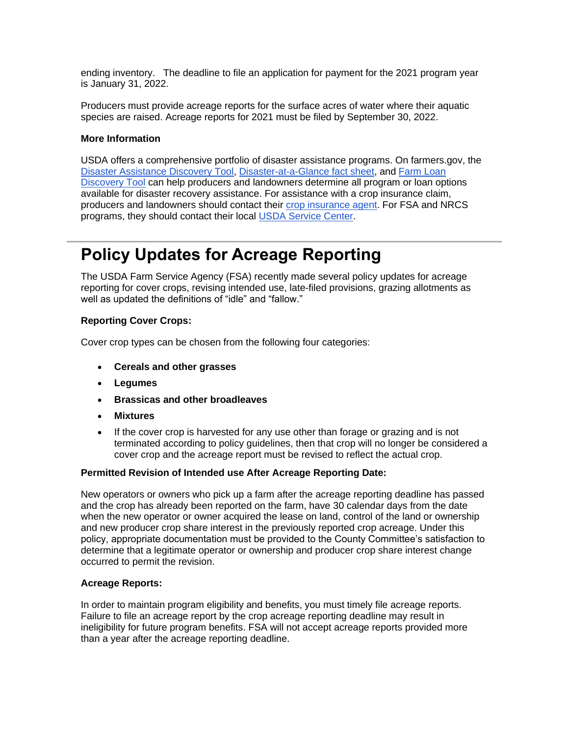ending inventory. The deadline to file an application for payment for the 2021 program year is January 31, 2022.

Producers must provide acreage reports for the surface acres of water where their aquatic species are raised. Acreage reports for 2021 must be filed by September 30, 2022.

### **More Information**

USDA offers a comprehensive portfolio of disaster assistance programs. On farmers.gov, the [Disaster Assistance Discovery Tool,](https://www.farmers.gov/node/28989?utm_medium=email&utm_source=govdelivery) [Disaster-at-a-Glance fact sheet,](https://www.farmers.gov/sites/default/files/2020-04/FSA_DisasterAssistance_at_a_glance_brochure_.pdf?utm_medium=email&utm_source=govdelivery) and [Farm Loan](https://www.farmers.gov/fund/farm-loan-discovery-tool?utm_medium=email&utm_source=govdelivery)  [Discovery Tool](https://www.farmers.gov/fund/farm-loan-discovery-tool?utm_medium=email&utm_source=govdelivery) can help producers and landowners determine all program or loan options available for disaster recovery assistance. For assistance with a crop insurance claim, producers and landowners should contact their [crop insurance agent.](https://gcc02.safelinks.protection.outlook.com/?url=https%3A%2F%2Fwww.rma.usda.gov%2Fen%2FInformation-Tools%2FAgent-Locator-Page%3Futm_medium%3Demail%26utm_source%3Dgovdelivery&data=04%7C01%7C%7Cd31388e1c0d74124836b08d92c50386a%7Ced5b36e701ee4ebc867ee03cfa0d4697%7C0%7C1%7C637589545322331540%7CUnknown%7CTWFpbGZsb3d8eyJWIjoiMC4wLjAwMDAiLCJQIjoiV2luMzIiLCJBTiI6Ik1haWwiLCJXVCI6Mn0%3D%7C1000&sdata=mQ8%2F6BlX%2BJ0UP2UEmk%2BH%2Bo798utZIZracC2YUQcpoew%3D&reserved=0) For FSA and NRCS programs, they should contact their local [USDA Service Center.](http://www.farmers.gov/service-center-locator?utm_medium=email&utm_source=govdelivery)

## <span id="page-6-0"></span>**Policy Updates for Acreage Reporting**

The USDA Farm Service Agency (FSA) recently made several policy updates for acreage reporting for cover crops, revising intended use, late-filed provisions, grazing allotments as well as updated the definitions of "idle" and "fallow."

### **Reporting Cover Crops:**

Cover crop types can be chosen from the following four categories:

- **Cereals and other grasses**
- **Legumes**
- **Brassicas and other broadleaves**
- **Mixtures**
- If the cover crop is harvested for any use other than forage or grazing and is not terminated according to policy guidelines, then that crop will no longer be considered a cover crop and the acreage report must be revised to reflect the actual crop.

### **Permitted Revision of Intended use After Acreage Reporting Date:**

New operators or owners who pick up a farm after the acreage reporting deadline has passed and the crop has already been reported on the farm, have 30 calendar days from the date when the new operator or owner acquired the lease on land, control of the land or ownership and new producer crop share interest in the previously reported crop acreage. Under this policy, appropriate documentation must be provided to the County Committee's satisfaction to determine that a legitimate operator or ownership and producer crop share interest change occurred to permit the revision.

### **Acreage Reports:**

In order to maintain program eligibility and benefits, you must timely file acreage reports. Failure to file an acreage report by the crop acreage reporting deadline may result in ineligibility for future program benefits. FSA will not accept acreage reports provided more than a year after the acreage reporting deadline.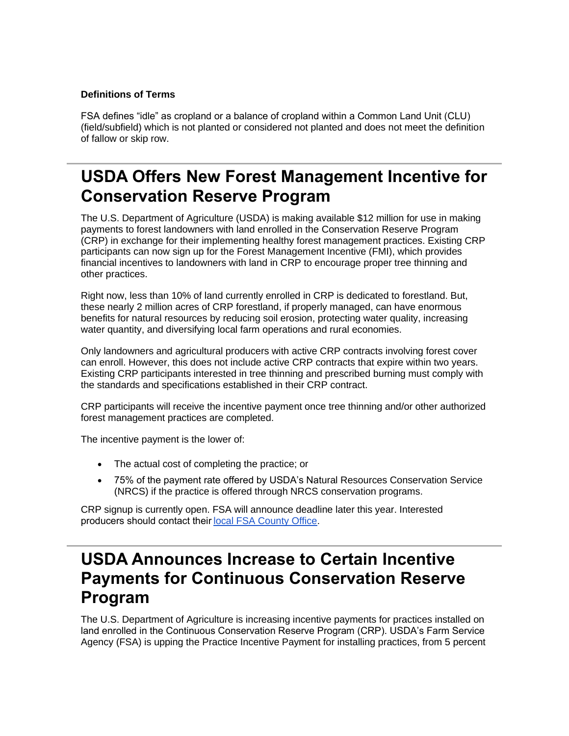### **Definitions of Terms**

FSA defines "idle" as cropland or a balance of cropland within a Common Land Unit (CLU) (field/subfield) which is not planted or considered not planted and does not meet the definition of fallow or skip row.

## <span id="page-7-0"></span>**USDA Offers New Forest Management Incentive for Conservation Reserve Program**

The U.S. Department of Agriculture (USDA) is making available \$12 million for use in making payments to forest landowners with land enrolled in the Conservation Reserve Program (CRP) in exchange for their implementing healthy forest management practices. Existing CRP participants can now sign up for the Forest Management Incentive (FMI), which provides financial incentives to landowners with land in CRP to encourage proper tree thinning and other practices.

Right now, less than 10% of land currently enrolled in CRP is dedicated to forestland. But, these nearly 2 million acres of CRP forestland, if properly managed, can have enormous benefits for natural resources by reducing soil erosion, protecting water quality, increasing water quantity, and diversifying local farm operations and rural economies.

Only landowners and agricultural producers with active CRP contracts involving forest cover can enroll. However, this does not include active CRP contracts that expire within two years. Existing CRP participants interested in tree thinning and prescribed burning must comply with the standards and specifications established in their CRP contract.

CRP participants will receive the incentive payment once tree thinning and/or other authorized forest management practices are completed.

The incentive payment is the lower of:

- The actual cost of completing the practice; or
- 75% of the payment rate offered by USDA's Natural Resources Conservation Service (NRCS) if the practice is offered through NRCS conservation programs.

CRP signup is currently open. FSA will announce deadline later this year. Interested producers should contact their[local FSA County Office.](https://www.farmers.gov/service-center-locator?utm_medium=email&utm_source=govdelivery) 

## <span id="page-7-1"></span>**USDA Announces Increase to Certain Incentive Payments for Continuous Conservation Reserve Program**

The U.S. Department of Agriculture is increasing incentive payments for practices installed on land enrolled in the Continuous Conservation Reserve Program (CRP). USDA's Farm Service Agency (FSA) is upping the Practice Incentive Payment for installing practices, from 5 percent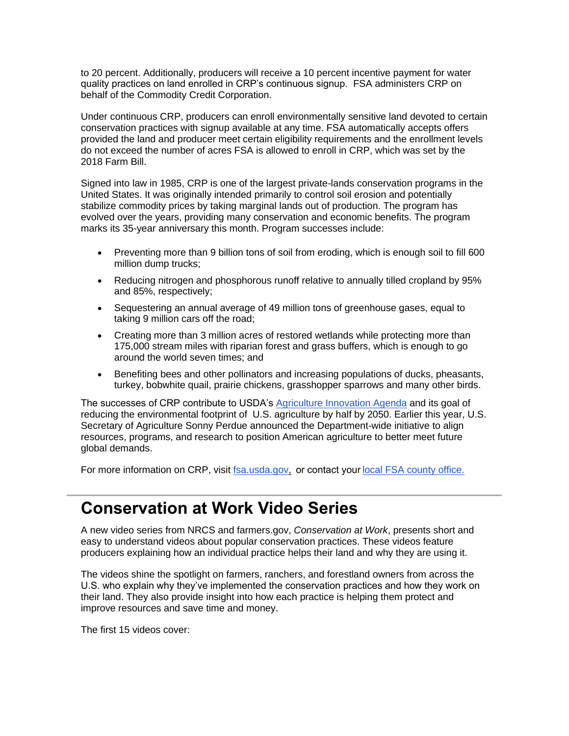to 20 percent. Additionally, producers will receive a 10 percent incentive payment for water quality practices on land enrolled in CRP's continuous signup. FSA administers CRP on behalf of the Commodity Credit Corporation.

Under continuous CRP, producers can enroll environmentally sensitive land devoted to certain conservation practices with signup available at any time. FSA automatically accepts offers provided the land and producer meet certain eligibility requirements and the enrollment levels do not exceed the number of acres FSA is allowed to enroll in CRP, which was set by the 2018 Farm Bill.

Signed into law in 1985, CRP is one of the largest private-lands conservation programs in the United States. It was originally intended primarily to control soil erosion and potentially stabilize commodity prices by taking marginal lands out of production. The program has evolved over the years, providing many conservation and economic benefits. The program marks its 35-year anniversary this month. Program successes include:

- Preventing more than 9 billion tons of soil from eroding, which is enough soil to fill 600 million dump trucks;
- Reducing nitrogen and phosphorous runoff relative to annually tilled cropland by 95% and 85%, respectively;
- Sequestering an annual average of 49 million tons of greenhouse gases, equal to taking 9 million cars off the road;
- Creating more than 3 million acres of restored wetlands while protecting more than 175,000 stream miles with riparian forest and grass buffers, which is enough to go around the world seven times; and
- Benefiting bees and other pollinators and increasing populations of ducks, pheasants, turkey, bobwhite quail, prairie chickens, grasshopper sparrows and many other birds.

The successes of CRP contribute to USDA's [Agriculture Innovation Agenda](http://www.usda.gov/aia?utm_medium=email&utm_source=govdelivery) and its goal of reducing the environmental footprint of U.S. agriculture by half by 2050. Earlier this year, U.S. Secretary of Agriculture Sonny Perdue announced the Department-wide initiative to align resources, programs, and research to position American agriculture to better meet future global demands.

For more information on CRP, visit [fsa.usda.gov,](https://gcc02.safelinks.protection.outlook.com/?url=https%3A%2F%2Fwww.fsa.usda.gov%2F%3Futm_medium%3Demail%26utm_source%3Dgovdelivery&data=04%7C01%7C%7Cd31388e1c0d74124836b08d92c50386a%7Ced5b36e701ee4ebc867ee03cfa0d4697%7C0%7C1%7C637589545322331540%7CUnknown%7CTWFpbGZsb3d8eyJWIjoiMC4wLjAwMDAiLCJQIjoiV2luMzIiLCJBTiI6Ik1haWwiLCJXVCI6Mn0%3D%7C1000&sdata=KWIrN0qYSyXQk5Iu7xWbxTOfizwa7%2BGxhW8zkdoF2gw%3D&reserved=0) or contact your local FSA county office.

## <span id="page-8-0"></span>**Conservation at Work Video Series**

A new video series from NRCS and farmers.gov, *Conservation at Work*, presents short and easy to understand videos about popular conservation practices. These videos feature producers explaining how an individual practice helps their land and why they are using it.

The videos shine the spotlight on farmers, ranchers, and forestland owners from across the U.S. who explain why they've implemented the conservation practices and how they work on their land. They also provide insight into how each practice is helping them protect and improve resources and save time and money.

The first 15 videos cover: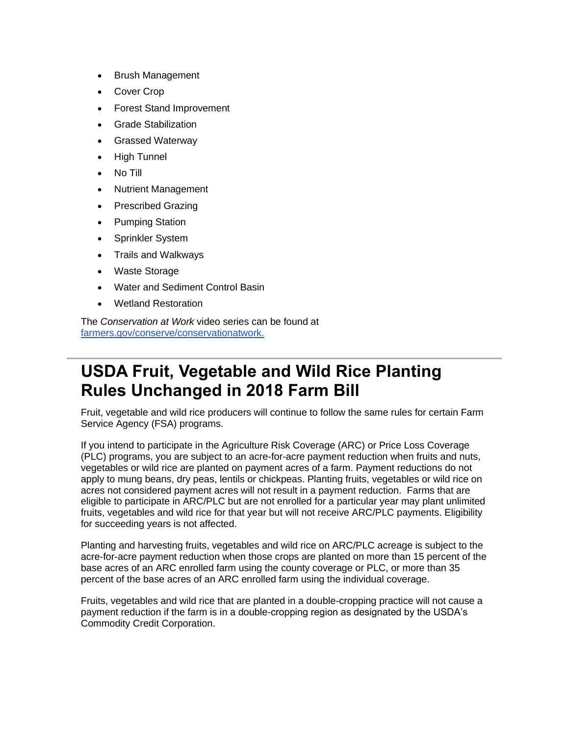- Brush Management
- Cover Crop
- Forest Stand Improvement
- Grade Stabilization
- Grassed Waterway
- High Tunnel
- No Till
- Nutrient Management
- Prescribed Grazing
- Pumping Station
- Sprinkler System
- Trails and Walkways
- Waste Storage
- Water and Sediment Control Basin
- Wetland Restoration

The *Conservation at Work* video series can be found at [farmers.gov/conserve/conservationatwork.](https://www.farmers.gov/conserve/conservation-at-work?utm_medium=email&utm_source=govdelivery)

## <span id="page-9-0"></span>**USDA Fruit, Vegetable and Wild Rice Planting Rules Unchanged in 2018 Farm Bill**

Fruit, vegetable and wild rice producers will continue to follow the same rules for certain Farm Service Agency (FSA) programs.

If you intend to participate in the Agriculture Risk Coverage (ARC) or Price Loss Coverage (PLC) programs, you are subject to an acre-for-acre payment reduction when fruits and nuts, vegetables or wild rice are planted on payment acres of a farm. Payment reductions do not apply to mung beans, dry peas, lentils or chickpeas. Planting fruits, vegetables or wild rice on acres not considered payment acres will not result in a payment reduction. Farms that are eligible to participate in ARC/PLC but are not enrolled for a particular year may plant unlimited fruits, vegetables and wild rice for that year but will not receive ARC/PLC payments. Eligibility for succeeding years is not affected.

Planting and harvesting fruits, vegetables and wild rice on ARC/PLC acreage is subject to the acre-for-acre payment reduction when those crops are planted on more than 15 percent of the base acres of an ARC enrolled farm using the county coverage or PLC, or more than 35 percent of the base acres of an ARC enrolled farm using the individual coverage.

Fruits, vegetables and wild rice that are planted in a double-cropping practice will not cause a payment reduction if the farm is in a double-cropping region as designated by the USDA's Commodity Credit Corporation.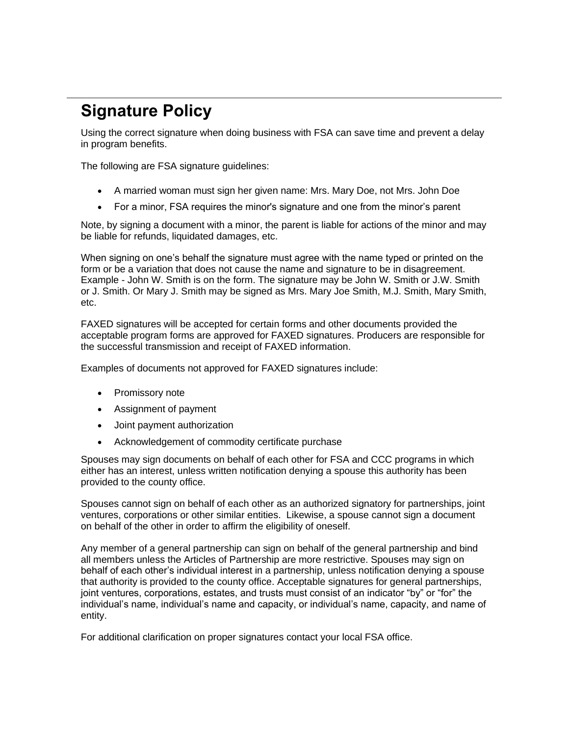# <span id="page-10-0"></span>**Signature Policy**

Using the correct signature when doing business with FSA can save time and prevent a delay in program benefits.

The following are FSA signature guidelines:

- A married woman must sign her given name: Mrs. Mary Doe, not Mrs. John Doe
- For a minor, FSA requires the minor's signature and one from the minor's parent

Note, by signing a document with a minor, the parent is liable for actions of the minor and may be liable for refunds, liquidated damages, etc.

When signing on one's behalf the signature must agree with the name typed or printed on the form or be a variation that does not cause the name and signature to be in disagreement. Example - John W. Smith is on the form. The signature may be John W. Smith or J.W. Smith or J. Smith. Or Mary J. Smith may be signed as Mrs. Mary Joe Smith, M.J. Smith, Mary Smith, etc.

FAXED signatures will be accepted for certain forms and other documents provided the acceptable program forms are approved for FAXED signatures. Producers are responsible for the successful transmission and receipt of FAXED information.

Examples of documents not approved for FAXED signatures include:

- Promissory note
- Assignment of payment
- Joint payment authorization
- Acknowledgement of commodity certificate purchase

Spouses may sign documents on behalf of each other for FSA and CCC programs in which either has an interest, unless written notification denying a spouse this authority has been provided to the county office.

Spouses cannot sign on behalf of each other as an authorized signatory for partnerships, joint ventures, corporations or other similar entities. Likewise, a spouse cannot sign a document on behalf of the other in order to affirm the eligibility of oneself.

Any member of a general partnership can sign on behalf of the general partnership and bind all members unless the Articles of Partnership are more restrictive. Spouses may sign on behalf of each other's individual interest in a partnership, unless notification denying a spouse that authority is provided to the county office. Acceptable signatures for general partnerships, joint ventures, corporations, estates, and trusts must consist of an indicator "by" or "for" the individual's name, individual's name and capacity, or individual's name, capacity, and name of entity.

For additional clarification on proper signatures contact your local FSA office.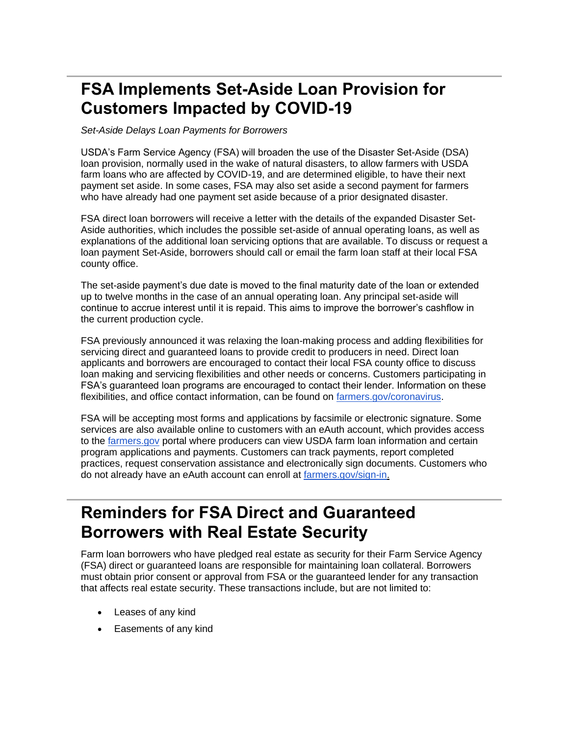## <span id="page-11-0"></span>**FSA Implements Set-Aside Loan Provision for Customers Impacted by COVID-19**

*Set-Aside Delays Loan Payments for Borrowers*

USDA's Farm Service Agency (FSA) will broaden the use of the Disaster Set-Aside (DSA) loan provision, normally used in the wake of natural disasters, to allow farmers with USDA farm loans who are affected by COVID-19, and are determined eligible, to have their next payment set aside. In some cases, FSA may also set aside a second payment for farmers who have already had one payment set aside because of a prior designated disaster.

FSA direct loan borrowers will receive a letter with the details of the expanded Disaster Set-Aside authorities, which includes the possible set-aside of annual operating loans, as well as explanations of the additional loan servicing options that are available. To discuss or request a loan payment Set-Aside, borrowers should call or email the farm loan staff at their local FSA county office.

The set-aside payment's due date is moved to the final maturity date of the loan or extended up to twelve months in the case of an annual operating loan. Any principal set-aside will continue to accrue interest until it is repaid. This aims to improve the borrower's cashflow in the current production cycle.

FSA previously announced it was relaxing the loan-making process and adding flexibilities for servicing direct and guaranteed loans to provide credit to producers in need. Direct loan applicants and borrowers are encouraged to contact their local FSA county office to discuss loan making and servicing flexibilities and other needs or concerns. Customers participating in FSA's guaranteed loan programs are encouraged to contact their lender. Information on these flexibilities, and office contact information, can be found on [farmers.gov/coronavirus.](http://www.farmers.gov/coronavirus?utm_medium=email&utm_source=govdelivery)

FSA will be accepting most forms and applications by facsimile or electronic signature. Some services are also available online to customers with an eAuth account, which provides access to the [farmers.gov](http://www.farmers.gov/?utm_medium=email&utm_source=govdelivery) portal where producers can view USDA farm loan information and certain program applications and payments. Customers can track payments, report completed practices, request conservation assistance and electronically sign documents. Customers who do not already have an eAuth account can enroll at [farmers.gov/sign-in.](https://www.farmers.gov/sign-in?utm_medium=email&utm_source=govdelivery)

## <span id="page-11-1"></span>**Reminders for FSA Direct and Guaranteed Borrowers with Real Estate Security**

Farm loan borrowers who have pledged real estate as security for their Farm Service Agency (FSA) direct or guaranteed loans are responsible for maintaining loan collateral. Borrowers must obtain prior consent or approval from FSA or the guaranteed lender for any transaction that affects real estate security. These transactions include, but are not limited to:

- Leases of any kind
- Easements of any kind